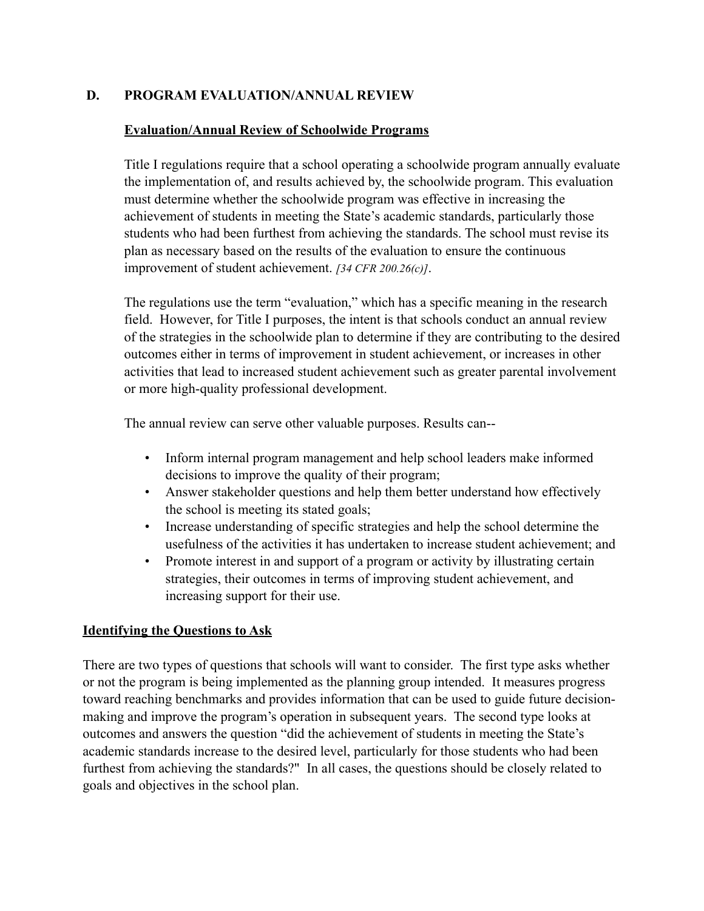# **D. PROGRAM EVALUATION/ANNUAL REVIEW**

#### **Evaluation/Annual Review of Schoolwide Programs**

Title I regulations require that a school operating a schoolwide program annually evaluate the implementation of, and results achieved by, the schoolwide program. This evaluation must determine whether the schoolwide program was effective in increasing the achievement of students in meeting the State's academic standards, particularly those students who had been furthest from achieving the standards. The school must revise its plan as necessary based on the results of the evaluation to ensure the continuous improvement of student achievement. *[34 CFR 200.26(c)]*.

The regulations use the term "evaluation," which has a specific meaning in the research field. However, for Title I purposes, the intent is that schools conduct an annual review of the strategies in the schoolwide plan to determine if they are contributing to the desired outcomes either in terms of improvement in student achievement, or increases in other activities that lead to increased student achievement such as greater parental involvement or more high-quality professional development.

The annual review can serve other valuable purposes. Results can--

- Inform internal program management and help school leaders make informed decisions to improve the quality of their program;
- Answer stakeholder questions and help them better understand how effectively the school is meeting its stated goals;
- Increase understanding of specific strategies and help the school determine the usefulness of the activities it has undertaken to increase student achievement; and
- Promote interest in and support of a program or activity by illustrating certain strategies, their outcomes in terms of improving student achievement, and increasing support for their use.

### **Identifying the Questions to Ask**

There are two types of questions that schools will want to consider. The first type asks whether or not the program is being implemented as the planning group intended. It measures progress toward reaching benchmarks and provides information that can be used to guide future decisionmaking and improve the program's operation in subsequent years. The second type looks at outcomes and answers the question "did the achievement of students in meeting the State's academic standards increase to the desired level, particularly for those students who had been furthest from achieving the standards?" In all cases, the questions should be closely related to goals and objectives in the school plan.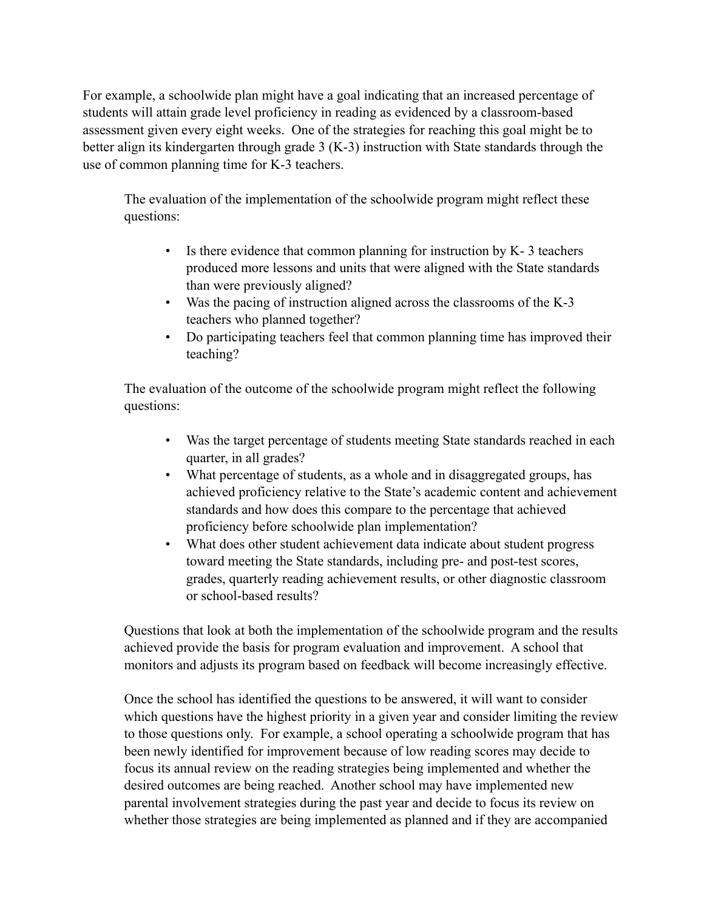For example, a schoolwide plan might have a goal indicating that an increased percentage of students will attain grade level proficiency in reading as evidenced by a classroom-based assessment given every eight weeks. One of the strategies for reaching this goal might be to better align its kindergarten through grade 3 (K-3) instruction with State standards through the use of common planning time for K-3 teachers.

The evaluation of the implementation of the schoolwide program might reflect these questions:

- Is there evidence that common planning for instruction by K- 3 teachers produced more lessons and units that were aligned with the State standards than were previously aligned?
- Was the pacing of instruction aligned across the classrooms of the K-3 teachers who planned together?
- Do participating teachers feel that common planning time has improved their teaching?

The evaluation of the outcome of the schoolwide program might reflect the following questions:

- Was the target percentage of students meeting State standards reached in each quarter, in all grades?
- What percentage of students, as a whole and in disaggregated groups, has achieved proficiency relative to the State's academic content and achievement standards and how does this compare to the percentage that achieved proficiency before schoolwide plan implementation?
- What does other student achievement data indicate about student progress toward meeting the State standards, including pre- and post-test scores, grades, quarterly reading achievement results, or other diagnostic classroom or school-based results?

Questions that look at both the implementation of the schoolwide program and the results achieved provide the basis for program evaluation and improvement. A school that monitors and adjusts its program based on feedback will become increasingly effective.

Once the school has identified the questions to be answered, it will want to consider which questions have the highest priority in a given year and consider limiting the review to those questions only. For example, a school operating a schoolwide program that has been newly identified for improvement because of low reading scores may decide to focus its annual review on the reading strategies being implemented and whether the desired outcomes are being reached. Another school may have implemented new parental involvement strategies during the past year and decide to focus its review on whether those strategies are being implemented as planned and if they are accompanied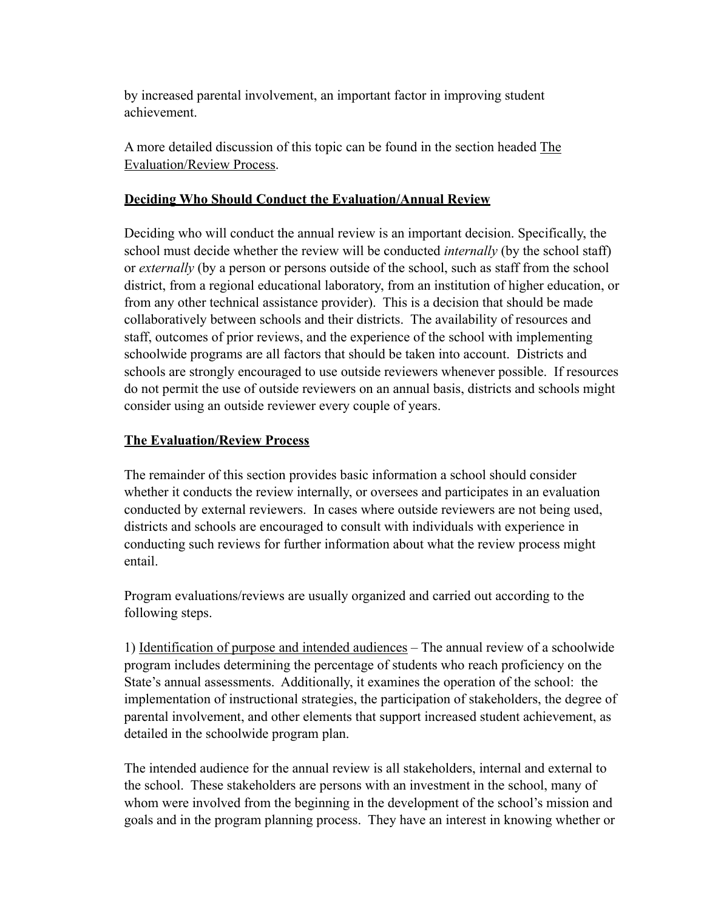by increased parental involvement, an important factor in improving student achievement.

A more detailed discussion of this topic can be found in the section headed The Evaluation/Review Process.

### **Deciding Who Should Conduct the Evaluation/Annual Review**

Deciding who will conduct the annual review is an important decision. Specifically, the school must decide whether the review will be conducted *internally* (by the school staff) or *externally* (by a person or persons outside of the school, such as staff from the school district, from a regional educational laboratory, from an institution of higher education, or from any other technical assistance provider). This is a decision that should be made collaboratively between schools and their districts. The availability of resources and staff, outcomes of prior reviews, and the experience of the school with implementing schoolwide programs are all factors that should be taken into account. Districts and schools are strongly encouraged to use outside reviewers whenever possible. If resources do not permit the use of outside reviewers on an annual basis, districts and schools might consider using an outside reviewer every couple of years.

## **The Evaluation/Review Process**

The remainder of this section provides basic information a school should consider whether it conducts the review internally, or oversees and participates in an evaluation conducted by external reviewers. In cases where outside reviewers are not being used, districts and schools are encouraged to consult with individuals with experience in conducting such reviews for further information about what the review process might entail.

Program evaluations/reviews are usually organized and carried out according to the following steps.

1) Identification of purpose and intended audiences *–* The annual review of a schoolwide program includes determining the percentage of students who reach proficiency on the State's annual assessments. Additionally, it examines the operation of the school: the implementation of instructional strategies, the participation of stakeholders, the degree of parental involvement, and other elements that support increased student achievement, as detailed in the schoolwide program plan.

The intended audience for the annual review is all stakeholders, internal and external to the school. These stakeholders are persons with an investment in the school, many of whom were involved from the beginning in the development of the school's mission and goals and in the program planning process. They have an interest in knowing whether or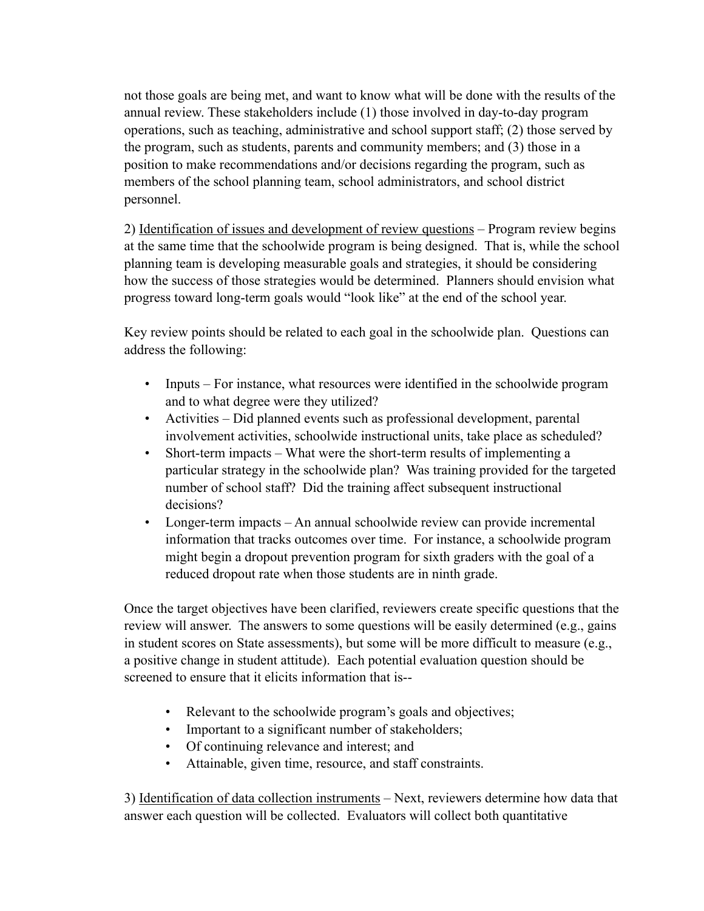not those goals are being met, and want to know what will be done with the results of the annual review. These stakeholders include (1) those involved in day-to-day program operations, such as teaching, administrative and school support staff; (2) those served by the program, such as students, parents and community members; and (3) those in a position to make recommendations and/or decisions regarding the program, such as members of the school planning team, school administrators, and school district personnel.

2) Identification of issues and development of review questions *–* Program review begins at the same time that the schoolwide program is being designed. That is, while the school planning team is developing measurable goals and strategies, it should be considering how the success of those strategies would be determined. Planners should envision what progress toward long-term goals would "look like" at the end of the school year.

Key review points should be related to each goal in the schoolwide plan. Questions can address the following:

- InputsFor instance, what resources were identified in the schoolwide program and to what degree were they utilized?
- Activities Did planned events such as professional development, parental involvement activities, schoolwide instructional units, take place as scheduled?
- Short-term impacts What were the short-term results of implementing a particular strategy in the schoolwide plan? Was training provided for the targeted number of school staff? Did the training affect subsequent instructional decisions?
- Longer-term impacts An annual schoolwide review can provide incremental information that tracks outcomes over time. For instance, a schoolwide program might begin a dropout prevention program for sixth graders with the goal of a reduced dropout rate when those students are in ninth grade.

Once the target objectives have been clarified, reviewers create specific questions that the review will answer. The answers to some questions will be easily determined (e.g., gains in student scores on State assessments), but some will be more difficult to measure (e.g., a positive change in student attitude). Each potential evaluation question should be screened to ensure that it elicits information that is--

- Relevant to the schoolwide program's goals and objectives;
- Important to a significant number of stakeholders;
- Of continuing relevance and interest; and
- Attainable, given time, resource, and staff constraints.

3) Identification of data collection instruments *–* Next, reviewers determine how data that answer each question will be collected. Evaluators will collect both quantitative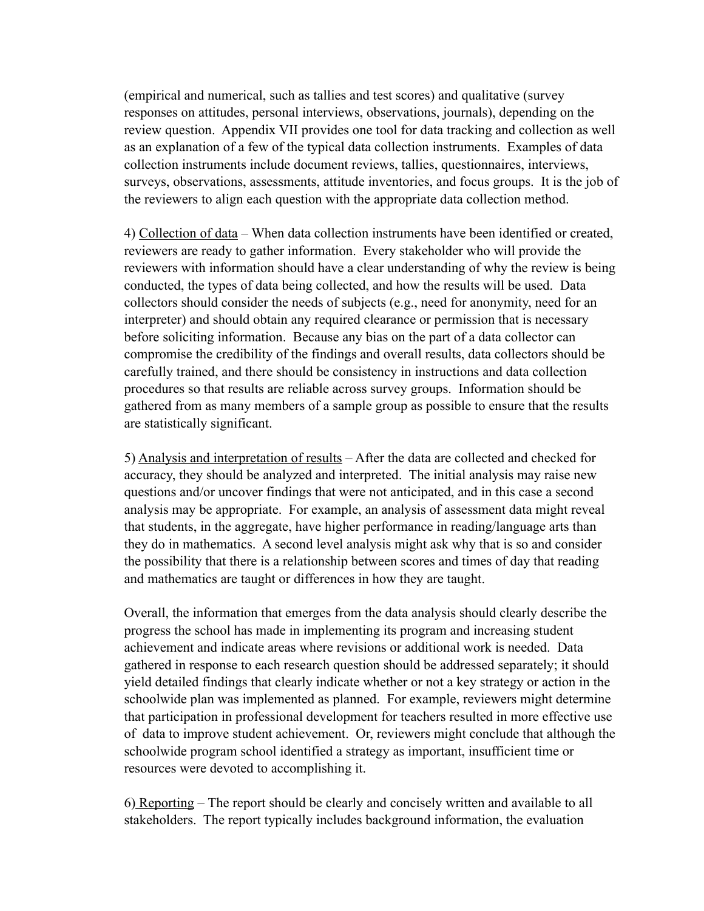(empirical and numerical, such as tallies and test scores) and qualitative (survey responses on attitudes, personal interviews, observations, journals), depending on the review question. Appendix VII provides one tool for data tracking and collection as well as an explanation of a few of the typical data collection instruments. Examples of data collection instruments include document reviews, tallies, questionnaires, interviews, surveys, observations, assessments, attitude inventories, and focus groups. It is the job of the reviewers to align each question with the appropriate data collection method.

4) Collection of data *–* When data collection instruments have been identified or created, reviewers are ready to gather information. Every stakeholder who will provide the reviewers with information should have a clear understanding of why the review is being conducted, the types of data being collected, and how the results will be used. Data collectors should consider the needs of subjects (e.g., need for anonymity, need for an interpreter) and should obtain any required clearance or permission that is necessary before soliciting information. Because any bias on the part of a data collector can compromise the credibility of the findings and overall results, data collectors should be carefully trained, and there should be consistency in instructions and data collection procedures so that results are reliable across survey groups. Information should be gathered from as many members of a sample group as possible to ensure that the results are statistically significant.

5) Analysis and interpretation of results *–* After the data are collected and checked for accuracy, they should be analyzed and interpreted. The initial analysis may raise new questions and/or uncover findings that were not anticipated, and in this case a second analysis may be appropriate. For example, an analysis of assessment data might reveal that students, in the aggregate, have higher performance in reading/language arts than they do in mathematics. A second level analysis might ask why that is so and consider the possibility that there is a relationship between scores and times of day that reading and mathematics are taught or differences in how they are taught.

Overall, the information that emerges from the data analysis should clearly describe the progress the school has made in implementing its program and increasing student achievement and indicate areas where revisions or additional work is needed.Data gathered in response to each research question should be addressed separately; it should yield detailed findings that clearly indicate whether or not a key strategy or action in the schoolwide plan was implemented as planned. For example, reviewers might determine that participation in professional development for teachers resulted in more effective use of data to improve student achievement. Or, reviewers might conclude that although the schoolwide program school identified a strategy as important, insufficient time or resources were devoted to accomplishing it.

6) Reporting *–* The report should be clearly and concisely written and available to all stakeholders. The report typically includes background information, the evaluation